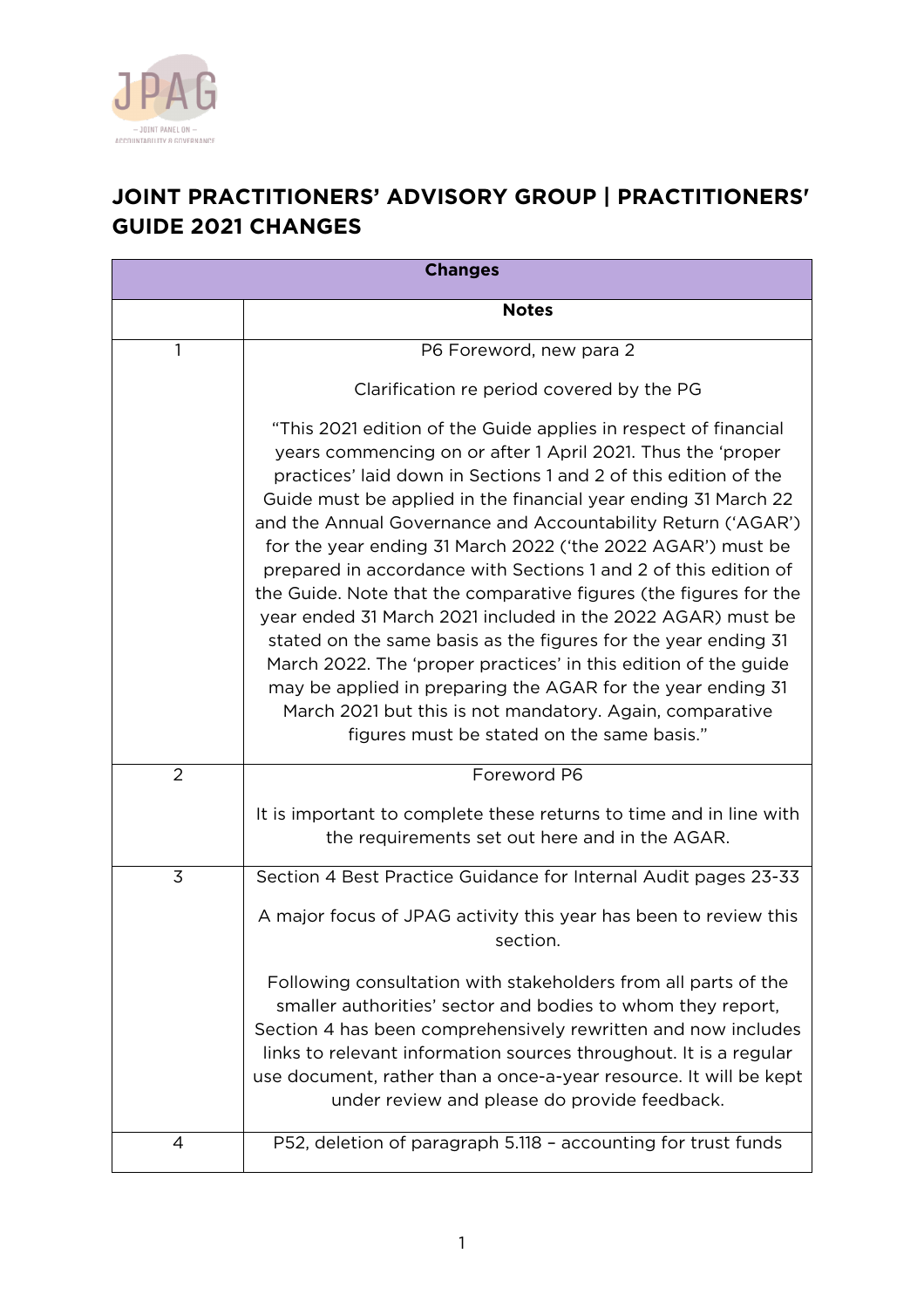

## **JOINT PRACTITIONERS' ADVISORY GROUP | PRACTITIONERS' GUIDE 2021 CHANGES**

| <b>Changes</b> |                                                                                                                                                                                                                                                                                                                                                                                                                                                                                                                                                                                                                                                                                                                                                                                                                                                                                                                         |
|----------------|-------------------------------------------------------------------------------------------------------------------------------------------------------------------------------------------------------------------------------------------------------------------------------------------------------------------------------------------------------------------------------------------------------------------------------------------------------------------------------------------------------------------------------------------------------------------------------------------------------------------------------------------------------------------------------------------------------------------------------------------------------------------------------------------------------------------------------------------------------------------------------------------------------------------------|
|                | <b>Notes</b>                                                                                                                                                                                                                                                                                                                                                                                                                                                                                                                                                                                                                                                                                                                                                                                                                                                                                                            |
| 1              | P6 Foreword, new para 2                                                                                                                                                                                                                                                                                                                                                                                                                                                                                                                                                                                                                                                                                                                                                                                                                                                                                                 |
|                | Clarification re period covered by the PG                                                                                                                                                                                                                                                                                                                                                                                                                                                                                                                                                                                                                                                                                                                                                                                                                                                                               |
|                | "This 2021 edition of the Guide applies in respect of financial<br>years commencing on or after 1 April 2021. Thus the 'proper<br>practices' laid down in Sections 1 and 2 of this edition of the<br>Guide must be applied in the financial year ending 31 March 22<br>and the Annual Governance and Accountability Return ('AGAR')<br>for the year ending 31 March 2022 ('the 2022 AGAR') must be<br>prepared in accordance with Sections 1 and 2 of this edition of<br>the Guide. Note that the comparative figures (the figures for the<br>year ended 31 March 2021 included in the 2022 AGAR) must be<br>stated on the same basis as the figures for the year ending 31<br>March 2022. The 'proper practices' in this edition of the guide<br>may be applied in preparing the AGAR for the year ending 31<br>March 2021 but this is not mandatory. Again, comparative<br>figures must be stated on the same basis." |
| $\overline{2}$ | Foreword P6                                                                                                                                                                                                                                                                                                                                                                                                                                                                                                                                                                                                                                                                                                                                                                                                                                                                                                             |
|                | It is important to complete these returns to time and in line with<br>the requirements set out here and in the AGAR.                                                                                                                                                                                                                                                                                                                                                                                                                                                                                                                                                                                                                                                                                                                                                                                                    |
| 3              | Section 4 Best Practice Guidance for Internal Audit pages 23-33                                                                                                                                                                                                                                                                                                                                                                                                                                                                                                                                                                                                                                                                                                                                                                                                                                                         |
|                | A major focus of JPAG activity this year has been to review this<br>section.                                                                                                                                                                                                                                                                                                                                                                                                                                                                                                                                                                                                                                                                                                                                                                                                                                            |
|                | Following consultation with stakeholders from all parts of the<br>smaller authorities' sector and bodies to whom they report,<br>Section 4 has been comprehensively rewritten and now includes<br>links to relevant information sources throughout. It is a regular<br>use document, rather than a once-a-year resource. It will be kept<br>under review and please do provide feedback.                                                                                                                                                                                                                                                                                                                                                                                                                                                                                                                                |
| $\overline{4}$ | P52, deletion of paragraph 5.118 - accounting for trust funds                                                                                                                                                                                                                                                                                                                                                                                                                                                                                                                                                                                                                                                                                                                                                                                                                                                           |